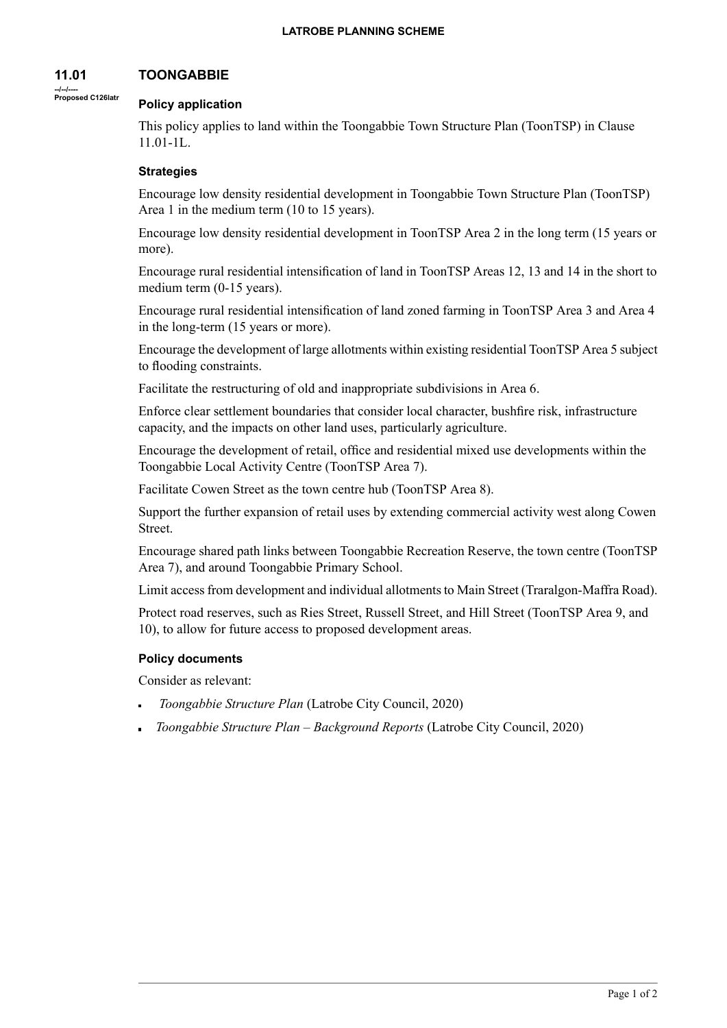#### **11.01 TOONGABBIE**

#### **--/--/---- Proposed C126latr Policy application**

This policy applies to land within the Toongabbie Town Structure Plan (ToonTSP) in Clause 11.01-1L.

# **Strategies**

Encourage low density residential development in Toongabbie Town Structure Plan (ToonTSP) Area 1 in the medium term (10 to 15 years).

Encourage low density residential development in ToonTSP Area 2 in the long term (15 years or more).

Encourage rural residential intensification of land in ToonTSP Areas 12, 13 and 14 in the short to medium term (0-15 years).

Encourage rural residential intensification of land zoned farming in ToonTSP Area 3 and Area 4 in the long-term (15 years or more).

Encourage the development of large allotments within existing residential ToonTSP Area 5 subject to flooding constraints.

Facilitate the restructuring of old and inappropriate subdivisions in Area 6.

Enforce clear settlement boundaries that consider local character, bushfire risk, infrastructure capacity, and the impacts on other land uses, particularly agriculture.

Encourage the development of retail, office and residential mixed use developments within the Toongabbie Local Activity Centre (ToonTSP Area 7).

Facilitate Cowen Street as the town centre hub (ToonTSP Area 8).

Support the further expansion of retail uses by extending commercial activity west along Cowen Street.

Encourage shared path links between Toongabbie Recreation Reserve, the town centre (ToonTSP Area 7), and around Toongabbie Primary School.

Limit access from development and individual allotments to Main Street (Traralgon-Maffra Road).

Protect road reserves, such as Ries Street, Russell Street, and Hill Street (ToonTSP Area 9, and 10), to allow for future access to proposed development areas.

## **Policy documents**

Consider as relevant:

- *Toongabbie Structure Plan* (Latrobe City Council, 2020)
- *Toongabbie Structure Plan – Background Reports* (Latrobe City Council, 2020)